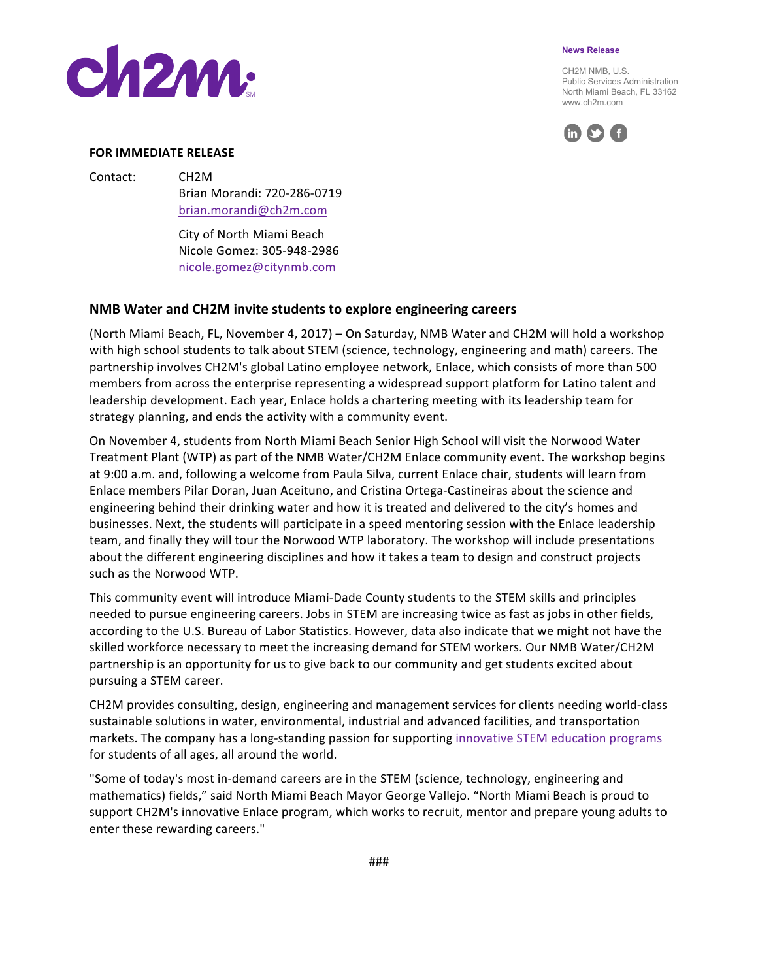

CH2M NMB, U.S. Public Services Administration North Miami Beach, FL 33162 www.ch2m.com



## **FOR IMMEDIATE RELEASE**

**Ch2m:** 

Contact: CH2M

Brian Morandi: 720-286-0719 brian.morandi@ch2m.com

City of North Miami Beach Nicole Gomez: 305-948-2986 nicole.gomez@citynmb.com

## **NMB** Water and CH2M invite students to explore engineering careers

(North Miami Beach, FL, November 4, 2017) – On Saturday, NMB Water and CH2M will hold a workshop with high school students to talk about STEM (science, technology, engineering and math) careers. The partnership involves CH2M's global Latino employee network, Enlace, which consists of more than 500 members from across the enterprise representing a widespread support platform for Latino talent and leadership development. Each year, Enlace holds a chartering meeting with its leadership team for strategy planning, and ends the activity with a community event.

On November 4, students from North Miami Beach Senior High School will visit the Norwood Water Treatment Plant (WTP) as part of the NMB Water/CH2M Enlace community event. The workshop begins at 9:00 a.m. and, following a welcome from Paula Silva, current Enlace chair, students will learn from Enlace members Pilar Doran, Juan Aceituno, and Cristina Ortega-Castineiras about the science and engineering behind their drinking water and how it is treated and delivered to the city's homes and businesses. Next, the students will participate in a speed mentoring session with the Enlace leadership team, and finally they will tour the Norwood WTP laboratory. The workshop will include presentations about the different engineering disciplines and how it takes a team to design and construct projects such as the Norwood WTP.

This community event will introduce Miami-Dade County students to the STEM skills and principles needed to pursue engineering careers. Jobs in STEM are increasing twice as fast as jobs in other fields, according to the U.S. Bureau of Labor Statistics. However, data also indicate that we might not have the skilled workforce necessary to meet the increasing demand for STEM workers. Our NMB Water/CH2M partnership is an opportunity for us to give back to our community and get students excited about pursuing a STEM career.

CH2M provides consulting, design, engineering and management services for clients needing world-class sustainable solutions in water, environmental, industrial and advanced facilities, and transportation markets. The company has a long-standing passion for supporting innovative STEM education programs for students of all ages, all around the world.

"Some of today's most in-demand careers are in the STEM (science, technology, engineering and mathematics) fields," said North Miami Beach Mayor George Vallejo. "North Miami Beach is proud to support CH2M's innovative Enlace program, which works to recruit, mentor and prepare young adults to enter these rewarding careers."